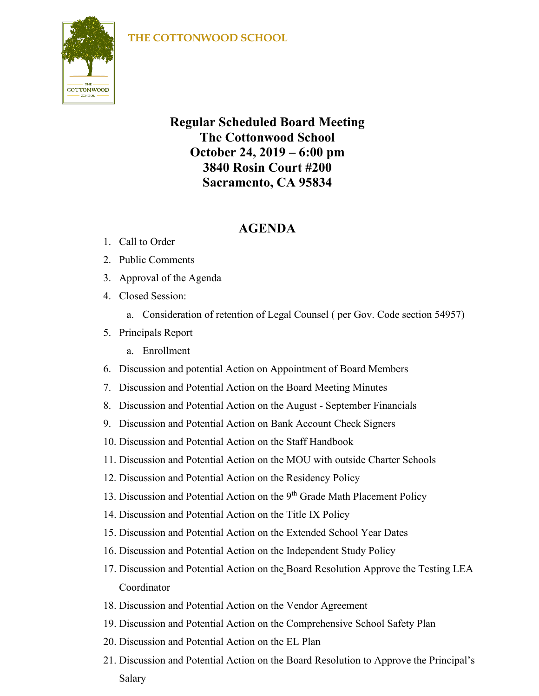## **THE COTTONWOOD SCHOOL**



## **Regular Scheduled Board Meeting The Cottonwood School October 24, 2019 – 6:00 pm 3840 Rosin Court #200 Sacramento, CA 95834**

## **AGENDA**

- 1. Call to Order
- 2. Public Comments
- 3. Approval of the Agenda
- 4. Closed Session:
	- a. Consideration of retention of Legal Counsel ( per Gov. Code section 54957)
- 5. Principals Report
	- a. Enrollment
- 6. Discussion and potential Action on Appointment of Board Members
- 7. Discussion and Potential Action on the Board Meeting Minutes
- 8. Discussion and Potential Action on the August September Financials
- 9. Discussion and Potential Action on Bank Account Check Signers
- 10. Discussion and Potential Action on the Staff Handbook
- 11. Discussion and Potential Action on the MOU with outside Charter Schools
- 12. Discussion and Potential Action on the Residency Policy
- 13. Discussion and Potential Action on the  $9<sup>th</sup>$  Grade Math Placement Policy
- 14. Discussion and Potential Action on the Title IX Policy
- 15. Discussion and Potential Action on the Extended School Year Dates
- 16. Discussion and Potential Action on the Independent Study Policy
- 17. Discussion and Potential Action on the Board Resolution Approve the Testing LEA Coordinator
- 18. Discussion and Potential Action on the Vendor Agreement
- 19. Discussion and Potential Action on the Comprehensive School Safety Plan
- 20. Discussion and Potential Action on the EL Plan
- 21. Discussion and Potential Action on the Board Resolution to Approve the Principal's Salary